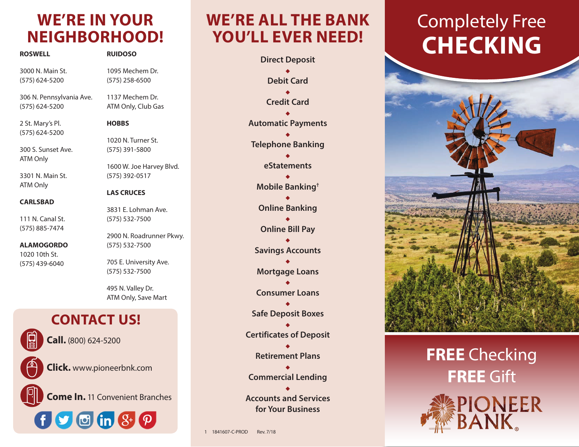## **WE'RE IN YOUR NEIGHBORHOOD!**

| <b>ROSWELL</b>                             | <b>RUIDOSO</b>                             |
|--------------------------------------------|--------------------------------------------|
| 3000 N. Main St.<br>(575) 624-5200         | 1095 Mechem Dr.<br>$(575)$ 258-6500        |
| 306 N. Pennsylvania Ave.<br>(575) 624-5200 | 1137 Mechem Dr.<br>ATM Only, Club Gas      |
| 2 St. Mary's Pl.<br>(575) 624-5200         | <b>HOBBS</b>                               |
| 300 S. Sunset Ave.                         | 1020 N. Turner St.<br>(575) 391-5800       |
| ATM Only<br>3301 N. Main St.               | 1600 W. Joe Harvey Blvd.<br>(575) 392-0517 |
| ATM Only                                   | <b>LAS CRUCES</b>                          |
| <b>CARLSBAD</b><br>111 N. Canal St.        | 3831 E. Lohman Ave.<br>(575) 532-7500      |
| (575) 885-7474<br><b>ALAMOGORDO</b>        | 2900 N. Roadrunner Pkwy.<br>(575) 532-7500 |
| 1020 10th St.<br>(575) 439-6040            | 705 E. University Ave.<br>(575) 532-7500   |
|                                            | 495 N. Valley Dr.<br>ATM Only, Save Mart   |
| <b>CONTACT US!</b>                         |                                            |
| Call. (800) 624-5200                       |                                            |
| <b>Click.</b> www.pioneerbnk.com           |                                            |
| <b>Come In.</b> 11 Convenient Branches     |                                            |
| $\bullet$ $\bullet$ (in $\mathcal{S}^+$    |                                            |

## **WE'RE ALL THE BANK YOU'LL EVER NEED!**

**Direct Deposit** ٠ **Debit Card** ٠ **Credit Card** ٠ **Automatic Payments**  $\bullet$ **Telephone Banking** ٠ **eStatements**  $\bullet$ **Mobile Banking†** ٠ **Online Banking** ٠ **Online Bill Pay**  $\bullet$ **Savings Accounts** ٠ **Mortgage Loans** ٠ **Consumer Loans** ٠ **Safe Deposit Boxes** ٠ **Certificates of Deposit** ٠ **Retirement Plans** ٠ **Commercial Lending**  ٠ **Accounts and Services for Your Business**

# Completely Free **CHECKING**